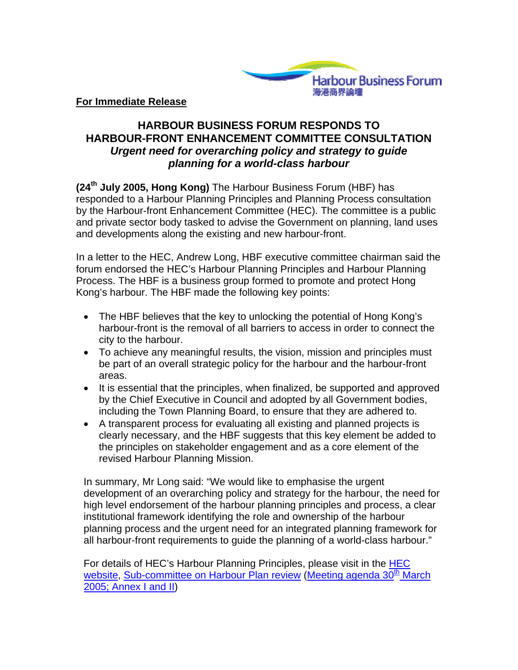

## **HARBOUR BUSINESS FORUM RESPONDS TO HARBOUR-FRONT ENHANCEMENT COMMITTEE CONSULTATION**  *Urgent need for overarching policy and strategy to guide planning for a world-class harbour*

**(24th July 2005, Hong Kong)** The Harbour Business Forum (HBF) has responded to a Harbour Planning Principles and Planning Process consultation by the Harbour-front Enhancement Committee (HEC). The committee is a public and private sector body tasked to advise the Government on planning, land uses and developments along the existing and new harbour-front.

In a letter to the HEC, Andrew Long, HBF executive committee chairman said the forum endorsed the HEC's Harbour Planning Principles and Harbour Planning Process. The HBF is a business group formed to promote and protect Hong Kong's harbour. The HBF made the following key points:

- The HBF believes that the key to unlocking the potential of Hong Kong's harbour-front is the removal of all barriers to access in order to connect the city to the harbour.
- To achieve any meaningful results, the vision, mission and principles must be part of an overall strategic policy for the harbour and the harbour-front areas.
- It is essential that the principles, when finalized, be supported and approved by the Chief Executive in Council and adopted by all Government bodies, including the Town Planning Board, to ensure that they are adhered to.
- A transparent process for evaluating all existing and planned projects is clearly necessary, and the HBF suggests that this key element be added to the principles on stakeholder engagement and as a core element of the revised Harbour Planning Mission.

In summary, Mr Long said: "We would like to emphasise the urgent development of an overarching policy and strategy for the harbour, the need for high level endorsement of the harbour planning principles and process, a clear institutional framework identifying the role and ownership of the harbour planning process and the urgent need for an integrated planning framework for all harbour-front requirements to guide the planning of a world-class harbour."

For details of HEC's Harbour Planning Principles, please visit in the [HEC](http://www.harbourfront.org.hk/)  [website,](http://www.harbourfront.org.hk/) [Sub-committee on Harbour Plan review](http://www.harbourfront.org.hk/eng/content_page/subcom_2.html?s=1) [\(Meeting agenda 30](http://www.harbourfront.org.hk/eng/content_page/doc/subcom_2_agenda_6.pdf)<sup>th</sup> March [2005; Annex I and II](http://www.harbourfront.org.hk/eng/content_page/doc/subcom_2_agenda_6.pdf))